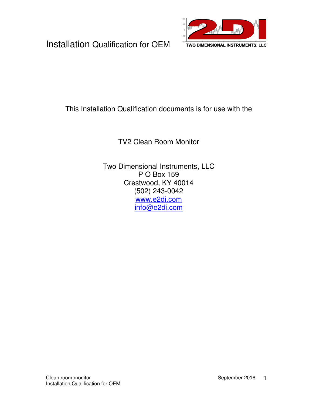

#### This Installation Qualification documents is for use with the

TV2 Clean Room Monitor

Two Dimensional Instruments, LLC P O Box 159 Crestwood, KY 40014 (502) 243-0042 www.e2di.com info@e2di.com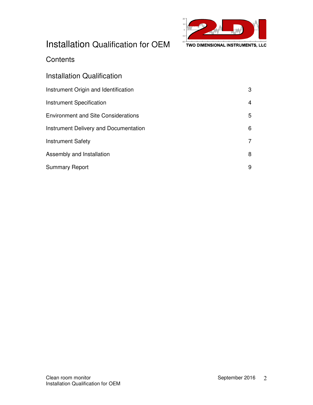

#### **Contents**

| Installation Qualification                   |   |
|----------------------------------------------|---|
| Instrument Origin and Identification         | 3 |
| <b>Instrument Specification</b>              | 4 |
| <b>Environment and Site Considerations</b>   | 5 |
| <b>Instrument Delivery and Documentation</b> | 6 |
| <b>Instrument Safety</b>                     |   |
| Assembly and Installation                    | 8 |
| <b>Summary Report</b>                        | 9 |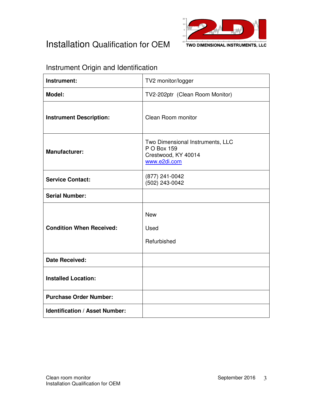

### Instrument Origin and Identification

| Instrument:                           | TV2 monitor/logger                                                                     |  |  |
|---------------------------------------|----------------------------------------------------------------------------------------|--|--|
| Model:                                | TV2-202ptr (Clean Room Monitor)                                                        |  |  |
| <b>Instrument Description:</b>        | Clean Room monitor                                                                     |  |  |
| <b>Manufacturer:</b>                  | Two Dimensional Instruments, LLC<br>P O Box 159<br>Crestwood, KY 40014<br>www.e2di.com |  |  |
| <b>Service Contact:</b>               | (877) 241-0042<br>(502) 243-0042                                                       |  |  |
| <b>Serial Number:</b>                 |                                                                                        |  |  |
| <b>Condition When Received:</b>       | <b>New</b><br>Used<br>Refurbished                                                      |  |  |
| <b>Date Received:</b>                 |                                                                                        |  |  |
| <b>Installed Location:</b>            |                                                                                        |  |  |
| <b>Purchase Order Number:</b>         |                                                                                        |  |  |
| <b>Identification / Asset Number:</b> |                                                                                        |  |  |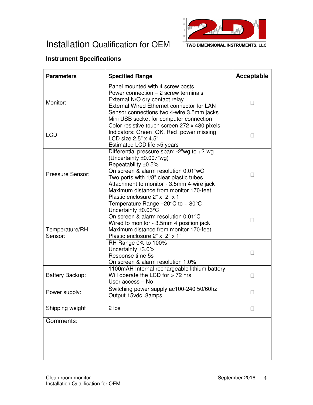



TWO DIMENSIONAL INSTRUMENTS, LLC

#### **Instrument Specifications**

| <b>Parameters</b>         | <b>Specified Range</b>                                                                                                                                                                                                                                                                                   | Acceptable |
|---------------------------|----------------------------------------------------------------------------------------------------------------------------------------------------------------------------------------------------------------------------------------------------------------------------------------------------------|------------|
| Monitor:                  | Panel mounted with 4 screw posts<br>Power connection - 2 screw terminals<br>External N/O dry contact relay<br>External Wired Ethernet connector for LAN<br>Sensor connections two 4-wire 3.5mm jacks<br>Mini USB socket for computer connection                                                          |            |
| <b>LCD</b>                | Color resistive touch screen 272 x 480 pixels<br>Indicators: Green=OK, Red=power missing<br>LCD size 2.5" x 4.5"<br>Estimated LCD life > 5 years                                                                                                                                                         |            |
| Pressure Sensor:          | Differential pressure span: -2"wg to +2"wg<br>(Uncertainty ±0.007"wg)<br>Repeatability ±0.5%<br>On screen & alarm resolution 0.01"wG<br>Two ports with 1/8" clear plastic tubes<br>Attachment to monitor - 3.5mm 4-wire jack<br>Maximum distance from monitor 170-feet<br>Plastic enclosure 2" x 2" x 1" |            |
| Temperature/RH<br>Sensor: | Temperature Range -20°C to + 80°C<br>Uncertainty ±0.03°C<br>On screen & alarm resolution 0.01°C<br>Wired to monitor - 3.5mm 4 position jack<br>Maximum distance from monitor 170-feet<br>Plastic enclosure 2" x 2" x 1"<br>RH Range 0% to 100%<br>Uncertainty ±3.0%<br>Response time 5s                  |            |
| Battery Backup:           | On screen & alarm resolution 1.0%<br>1100mAH Internal rechargeable lithium battery<br>Will operate the LCD for $>$ 72 hrs<br>User access - No                                                                                                                                                            |            |
| Power supply:             | Switching power supply ac100-240 50/60hz<br>Output 15vdc.8amps                                                                                                                                                                                                                                           |            |
| Shipping weight           | 2 lbs                                                                                                                                                                                                                                                                                                    |            |
| Comments:                 |                                                                                                                                                                                                                                                                                                          |            |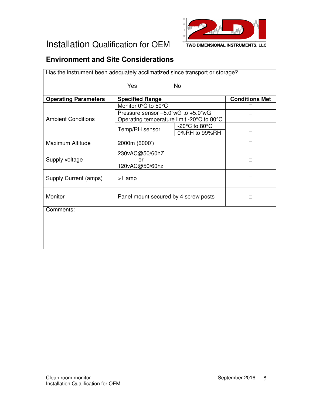

### **Environment and Site Considerations**

|                                    | Has the instrument been adequately acclimatized since transport or storage? |                                                                                                |  |  |  |
|------------------------------------|-----------------------------------------------------------------------------|------------------------------------------------------------------------------------------------|--|--|--|
| Yes                                |                                                                             |                                                                                                |  |  |  |
| <b>Specified Range</b>             |                                                                             | <b>Conditions Met</b>                                                                          |  |  |  |
| Monitor 0°C to 50°C                |                                                                             |                                                                                                |  |  |  |
| Pressure sensor -5.0"wG to +5.0"wG |                                                                             |                                                                                                |  |  |  |
| Temp/RH sensor                     | -20 $^{\circ}$ C to 80 $^{\circ}$ C<br>0%RH to 99%RH                        |                                                                                                |  |  |  |
| 2000m (6000')                      |                                                                             |                                                                                                |  |  |  |
| 230vAC@50/60hZ<br>or               |                                                                             |                                                                                                |  |  |  |
| 120vAC@50/60hz                     |                                                                             |                                                                                                |  |  |  |
| >1 amp                             |                                                                             |                                                                                                |  |  |  |
|                                    |                                                                             |                                                                                                |  |  |  |
|                                    |                                                                             |                                                                                                |  |  |  |
|                                    |                                                                             |                                                                                                |  |  |  |
|                                    |                                                                             |                                                                                                |  |  |  |
|                                    |                                                                             |                                                                                                |  |  |  |
|                                    |                                                                             |                                                                                                |  |  |  |
|                                    |                                                                             | <b>No</b><br>Operating temperature limit -20°C to 80°C<br>Panel mount secured by 4 screw posts |  |  |  |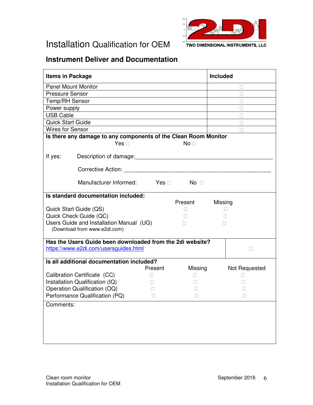



#### **Instrument Deliver and Documentation**

| <b>Items in Package</b>    |                                                                                                                                                                                                                                |         |           | Included |               |
|----------------------------|--------------------------------------------------------------------------------------------------------------------------------------------------------------------------------------------------------------------------------|---------|-----------|----------|---------------|
| <b>Panel Mount Monitor</b> |                                                                                                                                                                                                                                |         |           |          |               |
| <b>Pressure Sensor</b>     |                                                                                                                                                                                                                                |         |           |          |               |
| Temp/RH Sensor             |                                                                                                                                                                                                                                |         |           |          |               |
| Power supply               |                                                                                                                                                                                                                                |         |           |          |               |
| <b>USB Cable</b>           |                                                                                                                                                                                                                                |         |           |          |               |
| Quick Start Guide          |                                                                                                                                                                                                                                |         |           |          |               |
| <b>Wires for Sensor</b>    |                                                                                                                                                                                                                                |         |           |          |               |
|                            | Is there any damage to any components of the Clean Room Monitor                                                                                                                                                                |         |           |          |               |
|                            | Yes                                                                                                                                                                                                                            |         | <b>No</b> |          |               |
| If yes:                    | Description of damage: Description of damage:                                                                                                                                                                                  |         |           |          |               |
|                            | Corrective Action: Nation and Action and Action and Action and Action and Action and Action and Action and Action and Action and Action and Action and Action and Action and Action and Action and Action and Action and Actio |         |           |          |               |
|                            | Manufacturer Informed: Yes                                                                                                                                                                                                     |         | No.       |          |               |
|                            | Is standard documentation included:                                                                                                                                                                                            |         |           |          |               |
|                            |                                                                                                                                                                                                                                |         | Present   | Missing  |               |
|                            | Quick Start Guide (QS)                                                                                                                                                                                                         |         |           |          |               |
|                            | Quick Check Guide (QC)                                                                                                                                                                                                         |         |           |          |               |
|                            | Users Guide and Installation Manual (UG)<br>(Download from www.e2di.com)                                                                                                                                                       |         |           |          |               |
|                            | Has the Users Guide been downloaded from the 2di website?                                                                                                                                                                      |         |           |          |               |
|                            | https://www.e2di.com/usersguides.html                                                                                                                                                                                          |         |           |          |               |
|                            | Is all additional documentation included?                                                                                                                                                                                      |         |           |          |               |
|                            |                                                                                                                                                                                                                                | Present | Missing   |          | Not Requested |
|                            | Calibration Certificate (CC)                                                                                                                                                                                                   |         |           |          |               |
|                            | Installation Qualification (IQ)                                                                                                                                                                                                |         |           |          |               |
|                            | Operation Qualification (OQ)<br>Performance Qualification (PQ)                                                                                                                                                                 |         |           |          |               |
|                            |                                                                                                                                                                                                                                |         |           |          |               |
| Comments:                  |                                                                                                                                                                                                                                |         |           |          |               |
|                            |                                                                                                                                                                                                                                |         |           |          |               |
|                            |                                                                                                                                                                                                                                |         |           |          |               |
|                            |                                                                                                                                                                                                                                |         |           |          |               |
|                            |                                                                                                                                                                                                                                |         |           |          |               |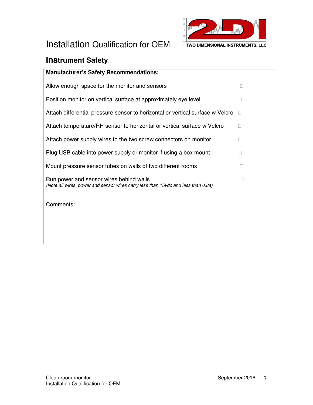

### **Instrument Safety**

#### **Manufacturer's Safety Recommendations:**

Allow enough space for the monitor and sensors

Position monitor on vertical surface at approximately eye level

Attach differential pressure sensor to horizontal or vertical surface w Velcro

Attach temperature/RH sensor to horizontal or vertical surface w Velcro

Attach power supply wires to the two screw connectors on monitor

Plug USB cable into power supply or monitor if using a box mount

Mount pressure sensor tubes on walls of two different rooms

Run power and sensor wires behind walls (Note all wires, power and sensor wires carry less than 15vdc and less than 0.8a)

Comments: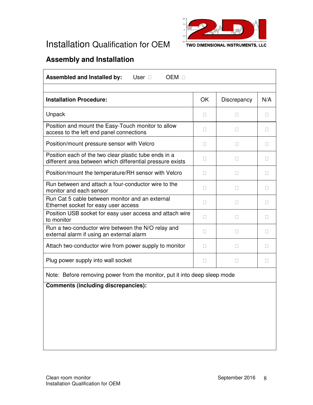

### **Assembly and Installation**

| Assembled and Installed by:<br>User<br><b>OEM</b>                                                                  |    |             |     |  |  |
|--------------------------------------------------------------------------------------------------------------------|----|-------------|-----|--|--|
|                                                                                                                    |    |             |     |  |  |
| <b>Installation Procedure:</b>                                                                                     | OK | Discrepancy | N/A |  |  |
| Unpack                                                                                                             |    |             |     |  |  |
| Position and mount the Easy-Touch monitor to allow<br>access to the left end panel connections                     |    |             |     |  |  |
| Position/mount pressure sensor with Velcro                                                                         |    |             |     |  |  |
| Position each of the two clear plastic tube ends in a<br>different area between which differential pressure exists |    |             |     |  |  |
| Position/mount the temperature/RH sensor with Velcro                                                               |    |             |     |  |  |
| Run between and attach a four-conductor wire to the<br>monitor and each sensor                                     |    |             |     |  |  |
| Run Cat 5 cable between monitor and an external<br>Ethernet socket for easy user access                            |    |             |     |  |  |
| Position USB socket for easy user access and attach wire<br>to monitor                                             |    |             |     |  |  |
| Run a two-conductor wire between the N/O relay and<br>external alarm if using an external alarm                    |    |             |     |  |  |
| Attach two-conductor wire from power supply to monitor                                                             |    |             |     |  |  |
| Plug power supply into wall socket                                                                                 |    |             |     |  |  |
| Note: Before removing power from the monitor, put it into deep sleep mode                                          |    |             |     |  |  |
| <b>Comments (including discrepancies):</b>                                                                         |    |             |     |  |  |
|                                                                                                                    |    |             |     |  |  |
|                                                                                                                    |    |             |     |  |  |
|                                                                                                                    |    |             |     |  |  |